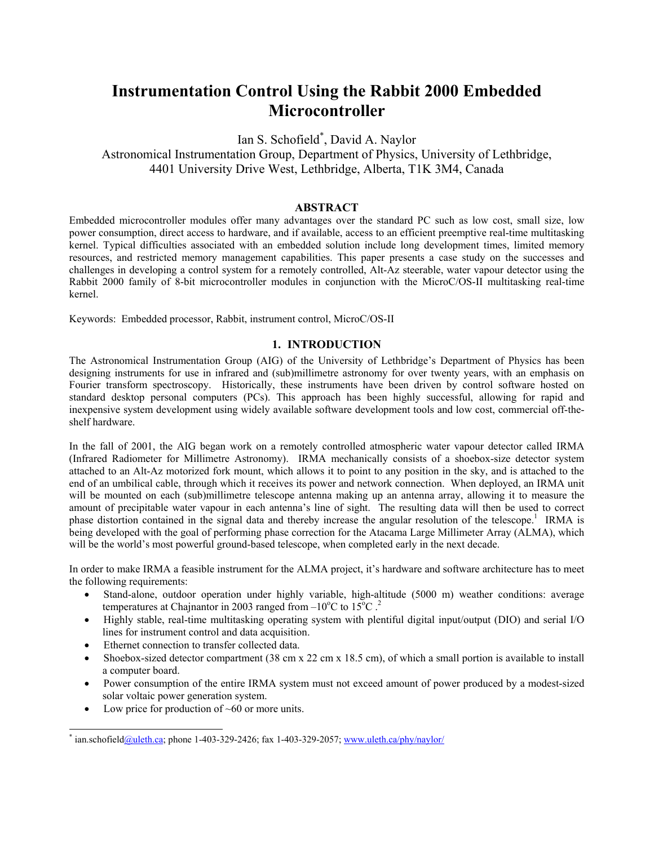# <span id="page-0-1"></span>**Instrumentation Control Using the Rabbit 2000 Embedded Microcontroller**

Ian S. Schofiel[d\\*](#page-0-0) , David A. Naylo[r](#page-0-1)  Astronomical Instrumentation Group, Department of Physics, University of Lethbridge, 4401 University Drive West, Lethbridge, Alberta, T1K 3M4, Canada

# **ABSTRACT**

Embedded microcontroller modules offer many advantages over the standard PC such as low cost, small size, low power consumption, direct access to hardware, and if available, access to an efficient preemptive real-time multitasking kernel. Typical difficulties associated with an embedded solution include long development times, limited memory resources, and restricted memory management capabilities. This paper presents a case study on the successes and challenges in developing a control system for a remotely controlled, Alt-Az steerable, water vapour detector using the Rabbit 2000 family of 8-bit microcontroller modules in conjunction with the MicroC/OS-II multitasking real-time kernel.

Keywords: Embedded processor, Rabbit, instrument control, MicroC/OS-II

#### **1. INTRODUCTION**

The Astronomical Instrumentation Group (AIG) of the University of Lethbridge's Department of Physics has been designing instruments for use in infrared and (sub)millimetre astronomy for over twenty years, with an emphasis on Fourier transform spectroscopy. Historically, these instruments have been driven by control software hosted on standard desktop personal computers (PCs). This approach has been highly successful, allowing for rapid and inexpensive system development using widely available software development tools and low cost, commercial off-theshelf hardware.

In the fall of 2001, the AIG began work on a remotely controlled atmospheric water vapour detector called IRMA (Infrared Radiometer for Millimetre Astronomy). IRMA mechanically consists of a shoebox-size detector system attached to an Alt-Az motorized fork mount, which allows it to point to any position in the sky, and is attached to the end of an umbilical cable, through which it receives its power and network connection. When deployed, an IRMA unit will be mounted on each (sub)millimetre telescope antenna making up an antenna array, allowing it to measure the amount of precipitable water vapour in each antenna's line of sight. The resulting data will then be used to correct phase distortion contained in the signal data and thereby increase the angular resolution of the telescope.<sup>1</sup> IRMA is being developed with the goal of performing phase correction for the Atacama Large Millimeter Array (ALMA), which will be the world's most powerful ground-based telescope, when completed early in the next decade.

In order to make IRMA a feasible instrument for the ALMA project, it's hardware and software architecture has to meet the following requirements:

- Stand-alone, outdoor operation under highly variable, high-altitude (5000 m) weather conditions: average temperatures at Chajnantor in 2003 ranged from  $-10^{\circ}$ C to  $15^{\circ}$ C .<sup>2</sup>
- Highly stable, real-time multitasking operating system with plentiful digital input/output (DIO) and serial I/O lines for instrument control and data acquisition.
- Ethernet connection to transfer collected data.
- Shoebox-sized detector compartment (38 cm x 22 cm x 18.5 cm), of which a small portion is available to install a computer board.
- Power consumption of the entire IRMA system must not exceed amount of power produced by a modest-sized solar voltaic power generation system.
- Low price for production of  $~60$  or more units.

l

<span id="page-0-0"></span><sup>&</sup>lt;sup>\*</sup> ian.schofiel[d@uleth.ca;](http://@uleth.ca/) phone 1-403-329-2426; fax 1-403-329-2057; [www.uleth.ca/phy/naylor/](http://www.uleth.ca/phy/naylor/)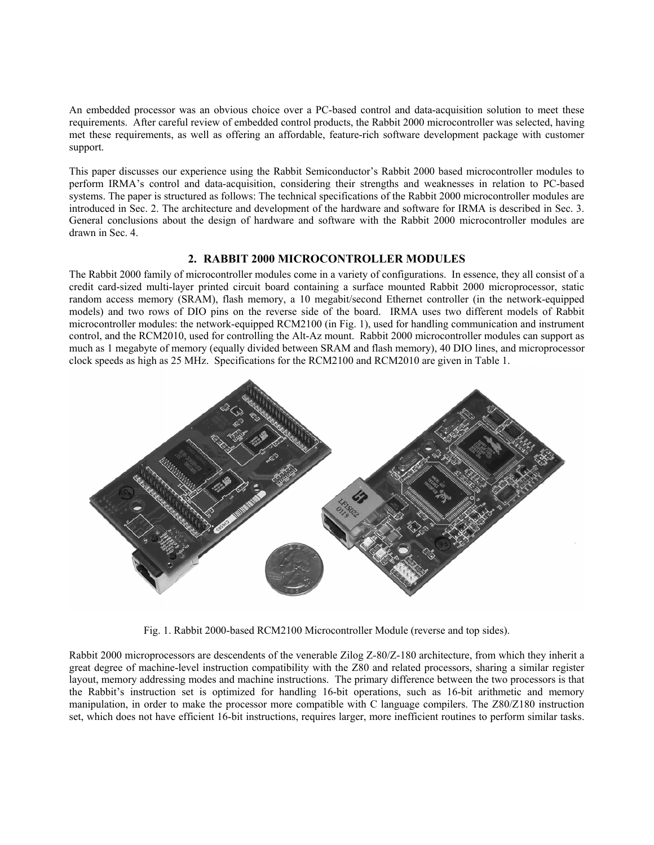An embedded processor was an obvious choice over a PC-based control and data-acquisition solution to meet these requirements. After careful review of embedded control products, the Rabbit 2000 microcontroller was selected, having met these requirements, as well as offering an affordable, feature-rich software development package with customer support.

This paper discusses our experience using the Rabbit Semiconductor's Rabbit 2000 based microcontroller modules to perform IRMA's control and data-acquisition, considering their strengths and weaknesses in relation to PC-based systems. The paper is structured as follows: The technical specifications of the Rabbit 2000 microcontroller modules are introduced in Sec. 2. The architecture and development of the hardware and software for IRMA is described in Sec. 3. General conclusions about the design of hardware and software with the Rabbit 2000 microcontroller modules are drawn in Sec. 4.

# **2. RABBIT 2000 MICROCONTROLLER MODULES**

The Rabbit 2000 family of microcontroller modules come in a variety of configurations. In essence, they all consist of a credit card-sized multi-layer printed circuit board containing a surface mounted Rabbit 2000 microprocessor, static random access memory (SRAM), flash memory, a 10 megabit/second Ethernet controller (in the network-equipped models) and two rows of DIO pins on the reverse side of the board. IRMA uses two different models of Rabbit microcontroller modules: the network-equipped RCM2100 (in Fig. 1), used for handling communication and instrument control, and the RCM2010, used for controlling the Alt-Az mount. Rabbit 2000 microcontroller modules can support as much as 1 megabyte of memory (equally divided between SRAM and flash memory), 40 DIO lines, and microprocessor clock speeds as high as 25 MHz. Specifications for the RCM2100 and RCM2010 are given in Table 1.



Fig. 1. Rabbit 2000-based RCM2100 Microcontroller Module (reverse and top sides).

Rabbit 2000 microprocessors are descendents of the venerable Zilog Z-80/Z-180 architecture, from which they inherit a great degree of machine-level instruction compatibility with the Z80 and related processors, sharing a similar register layout, memory addressing modes and machine instructions. The primary difference between the two processors is that the Rabbit's instruction set is optimized for handling 16-bit operations, such as 16-bit arithmetic and memory manipulation, in order to make the processor more compatible with C language compilers. The Z80/Z180 instruction set, which does not have efficient 16-bit instructions, requires larger, more inefficient routines to perform similar tasks.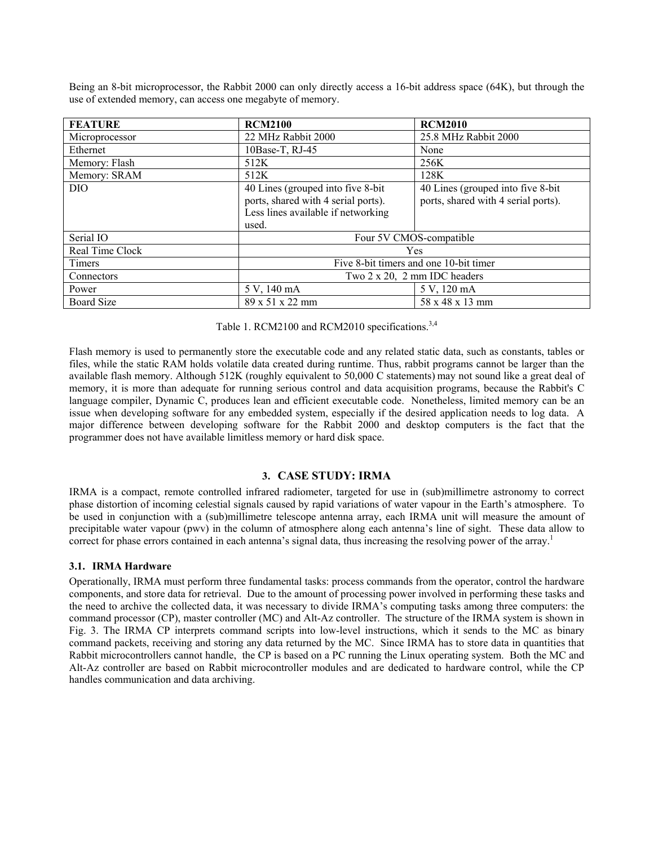Being an 8-bit microprocessor, the Rabbit 2000 can only directly access a 16-bit address space (64K), but through the use of extended memory, can access one megabyte of memory.

| <b>FEATURE</b>    | <b>RCM2100</b>                         | <b>RCM2010</b>                      |
|-------------------|----------------------------------------|-------------------------------------|
| Microprocessor    | 22 MHz Rabbit 2000                     | 25.8 MHz Rabbit 2000                |
| Ethernet          | 10Base-T, RJ-45                        | None                                |
| Memory: Flash     | 512K                                   | 256K                                |
| Memory: SRAM      | 512K                                   | 128K                                |
| DIO.              | 40 Lines (grouped into five 8-bit)     | 40 Lines (grouped into five 8-bit   |
|                   | ports, shared with 4 serial ports).    | ports, shared with 4 serial ports). |
|                   | Less lines available if networking     |                                     |
|                   | used.                                  |                                     |
| Serial IO         | Four 5V CMOS-compatible                |                                     |
| Real Time Clock   | <b>Yes</b>                             |                                     |
| <b>Timers</b>     | Five 8-bit timers and one 10-bit timer |                                     |
| Connectors        | Two 2 x 20, 2 mm IDC headers           |                                     |
| Power             | 5 V, 140 mA                            | 5 V, 120 mA                         |
| <b>Board Size</b> | 89 x 51 x 22 mm                        | 58 x 48 x 13 mm                     |

# Table 1. RCM2100 and RCM2010 specifications.<sup>3,4</sup>

Flash memory is used to permanently store the executable code and any related static data, such as constants, tables or files, while the static RAM holds volatile data created during runtime. Thus, rabbit programs cannot be larger than the available flash memory. Although 512K (roughly equivalent to 50,000 C statements) may not sound like a great deal of memory, it is more than adequate for running serious control and data acquisition programs, because the Rabbit's C language compiler, Dynamic C, produces lean and efficient executable code. Nonetheless, limited memory can be an issue when developing software for any embedded system, especially if the desired application needs to log data. A major difference between developing software for the Rabbit 2000 and desktop computers is the fact that the programmer does not have available limitless memory or hard disk space.

# **3. CASE STUDY: IRMA**

IRMA is a compact, remote controlled infrared radiometer, targeted for use in (sub)millimetre astronomy to correct phase distortion of incoming celestial signals caused by rapid variations of water vapour in the Earth's atmosphere. To be used in conjunction with a (sub)millimetre telescope antenna array, each IRMA unit will measure the amount of precipitable water vapour (pwv) in the column of atmosphere along each antenna's line of sight. These data allow to correct for phase errors contained in each antenna's signal data, thus increasing the resolving power of the array.<sup>1</sup>

#### **3.1. IRMA Hardware**

Operationally, IRMA must perform three fundamental tasks: process commands from the operator, control the hardware components, and store data for retrieval. Due to the amount of processing power involved in performing these tasks and the need to archive the collected data, it was necessary to divide IRMA's computing tasks among three computers: the command processor (CP), master controller (MC) and Alt-Az controller. The structure of the IRMA system is shown in Fig. 3. The IRMA CP interprets command scripts into low-level instructions, which it sends to the MC as binary command packets, receiving and storing any data returned by the MC. Since IRMA has to store data in quantities that Rabbit microcontrollers cannot handle, the CP is based on a PC running the Linux operating system. Both the MC and Alt-Az controller are based on Rabbit microcontroller modules and are dedicated to hardware control, while the CP handles communication and data archiving.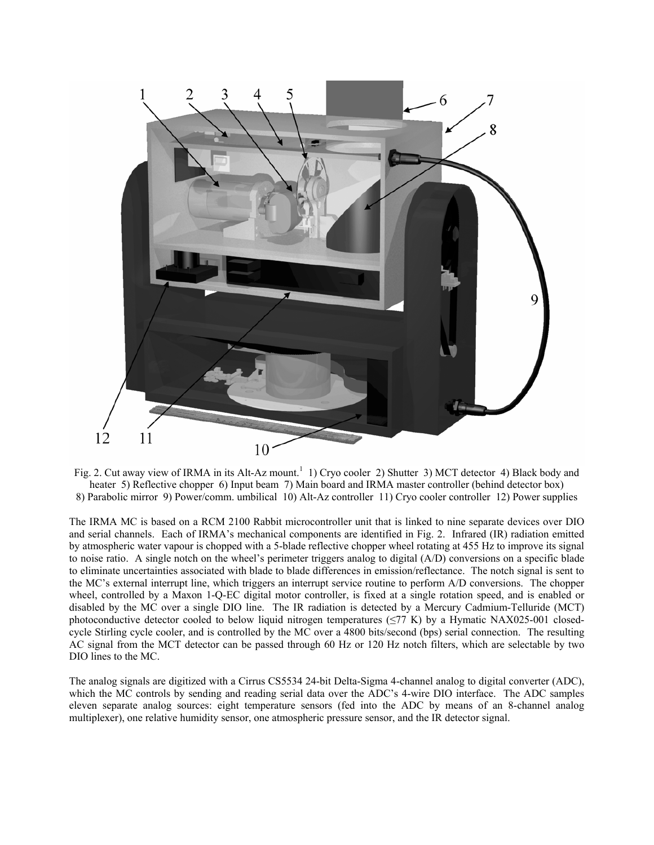

Fig. 2. Cut away view of IRMA in its Alt-Az mount.<sup>1</sup> 1) Cryo cooler 2) Shutter 3) MCT detector 4) Black body and heater 5) Reflective chopper 6) Input beam 7) Main board and IRMA master controller (behind detector box) 8) Parabolic mirror 9) Power/comm. umbilical 10) Alt-Az controller 11) Cryo cooler controller 12) Power supplies

The IRMA MC is based on a RCM 2100 Rabbit microcontroller unit that is linked to nine separate devices over DIO and serial channels. Each of IRMA's mechanical components are identified in Fig. 2. Infrared (IR) radiation emitted by atmospheric water vapour is chopped with a 5-blade reflective chopper wheel rotating at 455 Hz to improve its signal to noise ratio. A single notch on the wheel's perimeter triggers analog to digital (A/D) conversions on a specific blade to eliminate uncertainties associated with blade to blade differences in emission/reflectance. The notch signal is sent to the MC's external interrupt line, which triggers an interrupt service routine to perform A/D conversions. The chopper wheel, controlled by a Maxon 1-Q-EC digital motor controller, is fixed at a single rotation speed, and is enabled or disabled by the MC over a single DIO line. The IR radiation is detected by a Mercury Cadmium-Telluride (MCT) photoconductive detector cooled to below liquid nitrogen temperatures ( $\leq$ 77 K) by a Hymatic NAX025-001 closedcycle Stirling cycle cooler, and is controlled by the MC over a 4800 bits/second (bps) serial connection. The resulting AC signal from the MCT detector can be passed through 60 Hz or 120 Hz notch filters, which are selectable by two DIO lines to the MC.

The analog signals are digitized with a Cirrus CS5534 24-bit Delta-Sigma 4-channel analog to digital converter (ADC), which the MC controls by sending and reading serial data over the ADC's 4-wire DIO interface. The ADC samples eleven separate analog sources: eight temperature sensors (fed into the ADC by means of an 8-channel analog multiplexer), one relative humidity sensor, one atmospheric pressure sensor, and the IR detector signal.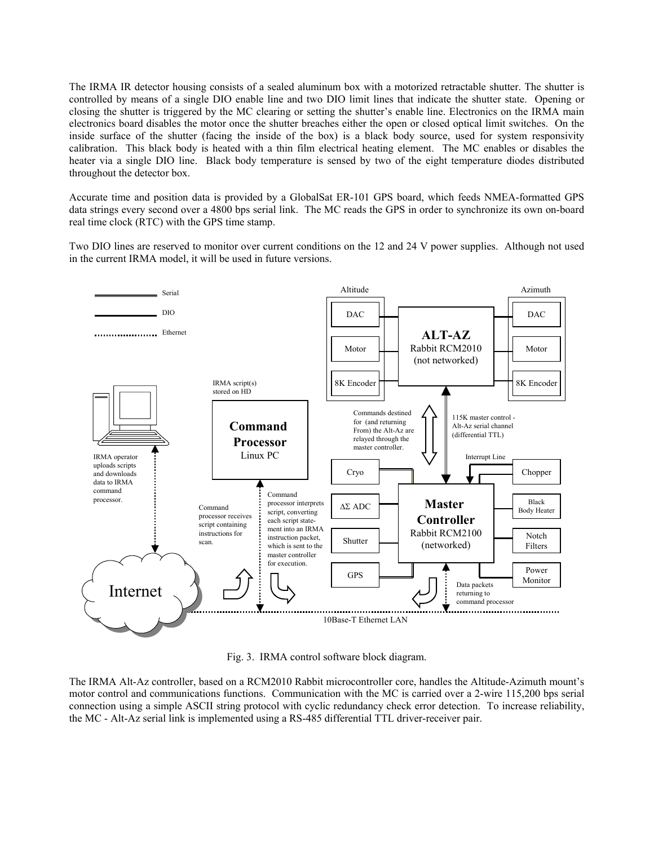The IRMA IR detector housing consists of a sealed aluminum box with a motorized retractable shutter. The shutter is controlled by means of a single DIO enable line and two DIO limit lines that indicate the shutter state. Opening or closing the shutter is triggered by the MC clearing or setting the shutter's enable line. Electronics on the IRMA main electronics board disables the motor once the shutter breaches either the open or closed optical limit switches. On the inside surface of the shutter (facing the inside of the box) is a black body source, used for system responsivity calibration. This black body is heated with a thin film electrical heating element. The MC enables or disables the heater via a single DIO line. Black body temperature is sensed by two of the eight temperature diodes distributed throughout the detector box.

Accurate time and position data is provided by a GlobalSat ER-101 GPS board, which feeds NMEA-formatted GPS data strings every second over a 4800 bps serial link. The MC reads the GPS in order to synchronize its own on-board real time clock (RTC) with the GPS time stamp.

Two DIO lines are reserved to monitor over current conditions on the 12 and 24 V power supplies. Although not used in the current IRMA model, it will be used in future versions.



Fig. 3. IRMA control software block diagram.

The IRMA Alt-Az controller, based on a RCM2010 Rabbit microcontroller core, handles the Altitude-Azimuth mount's motor control and communications functions. Communication with the MC is carried over a 2-wire 115,200 bps serial connection using a simple ASCII string protocol with cyclic redundancy check error detection. To increase reliability, the MC - Alt-Az serial link is implemented using a RS-485 differential TTL driver-receiver pair.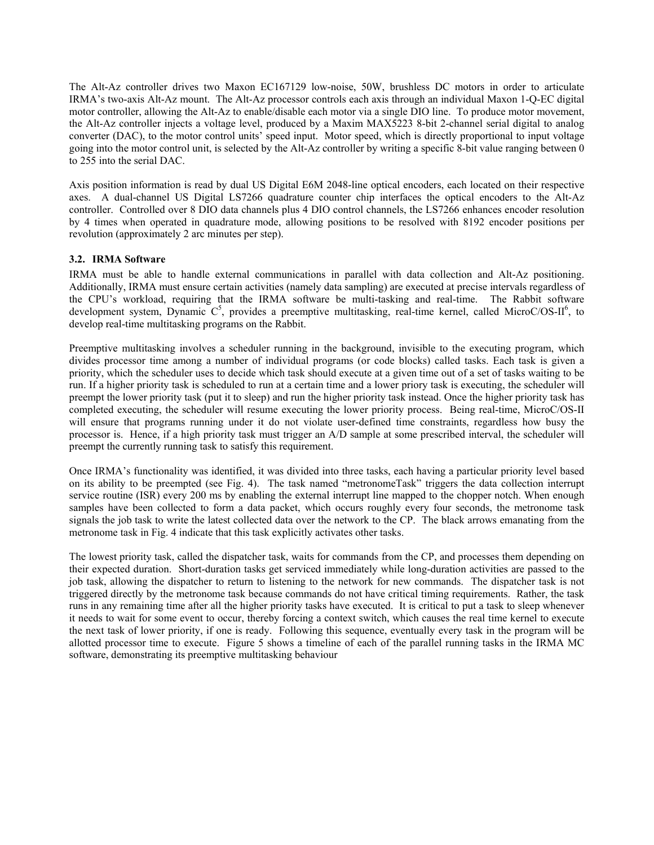The Alt-Az controller drives two Maxon EC167129 low-noise, 50W, brushless DC motors in order to articulate IRMA's two-axis Alt-Az mount. The Alt-Az processor controls each axis through an individual Maxon 1-Q-EC digital motor controller, allowing the Alt-Az to enable/disable each motor via a single DIO line. To produce motor movement, the Alt-Az controller injects a voltage level, produced by a Maxim MAX5223 8-bit 2-channel serial digital to analog converter (DAC), to the motor control units' speed input. Motor speed, which is directly proportional to input voltage going into the motor control unit, is selected by the Alt-Az controller by writing a specific 8-bit value ranging between 0 to 255 into the serial DAC.

Axis position information is read by dual US Digital E6M 2048-line optical encoders, each located on their respective axes. A dual-channel US Digital LS7266 quadrature counter chip interfaces the optical encoders to the Alt-Az controller. Controlled over 8 DIO data channels plus 4 DIO control channels, the LS7266 enhances encoder resolution by 4 times when operated in quadrature mode, allowing positions to be resolved with 8192 encoder positions per revolution (approximately 2 arc minutes per step).

# **3.2. IRMA Software**

IRMA must be able to handle external communications in parallel with data collection and Alt-Az positioning. Additionally, IRMA must ensure certain activities (namely data sampling) are executed at precise intervals regardless of the CPU's workload, requiring that the IRMA software be multi-tasking and real-time. The Rabbit software development system, Dynamic  $C^5$ , provides a preemptive multitasking, real-time kernel, called MicroC/OS-II<sup>6</sup>, to develop real-time multitasking programs on the Rabbit.

Preemptive multitasking involves a scheduler running in the background, invisible to the executing program, which divides processor time among a number of individual programs (or code blocks) called tasks. Each task is given a priority, which the scheduler uses to decide which task should execute at a given time out of a set of tasks waiting to be run. If a higher priority task is scheduled to run at a certain time and a lower priory task is executing, the scheduler will preempt the lower priority task (put it to sleep) and run the higher priority task instead. Once the higher priority task has completed executing, the scheduler will resume executing the lower priority process. Being real-time, MicroC/OS-II will ensure that programs running under it do not violate user-defined time constraints, regardless how busy the processor is. Hence, if a high priority task must trigger an A/D sample at some prescribed interval, the scheduler will preempt the currently running task to satisfy this requirement.

Once IRMA's functionality was identified, it was divided into three tasks, each having a particular priority level based on its ability to be preempted (see Fig. 4). The task named "metronomeTask" triggers the data collection interrupt service routine (ISR) every 200 ms by enabling the external interrupt line mapped to the chopper notch. When enough samples have been collected to form a data packet, which occurs roughly every four seconds, the metronome task signals the job task to write the latest collected data over the network to the CP. The black arrows emanating from the metronome task in Fig. 4 indicate that this task explicitly activates other tasks.

The lowest priority task, called the dispatcher task, waits for commands from the CP, and processes them depending on their expected duration. Short-duration tasks get serviced immediately while long-duration activities are passed to the job task, allowing the dispatcher to return to listening to the network for new commands. The dispatcher task is not triggered directly by the metronome task because commands do not have critical timing requirements. Rather, the task runs in any remaining time after all the higher priority tasks have executed. It is critical to put a task to sleep whenever it needs to wait for some event to occur, thereby forcing a context switch, which causes the real time kernel to execute the next task of lower priority, if one is ready. Following this sequence, eventually every task in the program will be allotted processor time to execute. Figure 5 shows a timeline of each of the parallel running tasks in the IRMA MC software, demonstrating its preemptive multitasking behaviour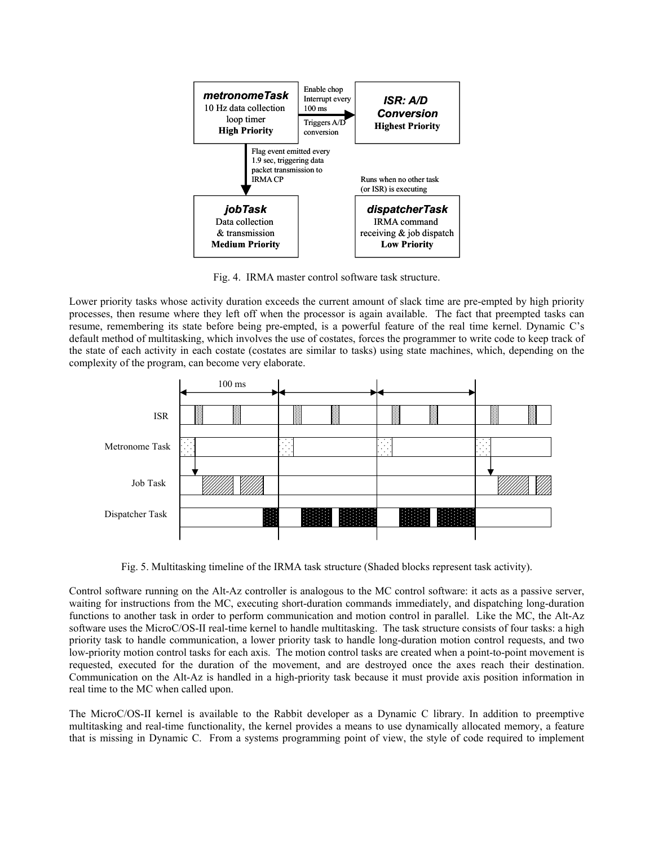

Fig. 4. IRMA master control software task structure.

Lower priority tasks whose activity duration exceeds the current amount of slack time are pre-empted by high priority processes, then resume where they left off when the processor is again available. The fact that preempted tasks can resume, remembering its state before being pre-empted, is a powerful feature of the real time kernel. Dynamic C's default method of multitasking, which involves the use of costates, forces the programmer to write code to keep track of the state of each activity in each costate (costates are similar to tasks) using state machines, which, depending on the complexity of the program, can become very elaborate.



Fig. 5. Multitasking timeline of the IRMA task structure (Shaded blocks represent task activity).

Control software running on the Alt-Az controller is analogous to the MC control software: it acts as a passive server, waiting for instructions from the MC, executing short-duration commands immediately, and dispatching long-duration functions to another task in order to perform communication and motion control in parallel. Like the MC, the Alt-Az software uses the MicroC/OS-II real-time kernel to handle multitasking. The task structure consists of four tasks: a high priority task to handle communication, a lower priority task to handle long-duration motion control requests, and two low-priority motion control tasks for each axis. The motion control tasks are created when a point-to-point movement is requested, executed for the duration of the movement, and are destroyed once the axes reach their destination. Communication on the Alt-Az is handled in a high-priority task because it must provide axis position information in real time to the MC when called upon.

The MicroC/OS-II kernel is available to the Rabbit developer as a Dynamic C library. In addition to preemptive multitasking and real-time functionality, the kernel provides a means to use dynamically allocated memory, a feature that is missing in Dynamic C. From a systems programming point of view, the style of code required to implement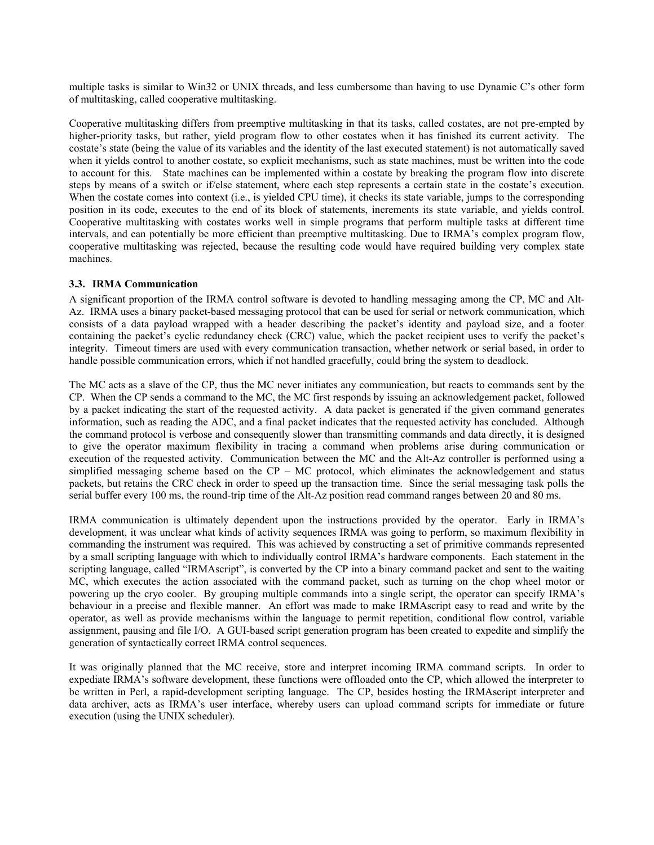multiple tasks is similar to Win32 or UNIX threads, and less cumbersome than having to use Dynamic C's other form of multitasking, called cooperative multitasking.

Cooperative multitasking differs from preemptive multitasking in that its tasks, called costates, are not pre-empted by higher-priority tasks, but rather, yield program flow to other costates when it has finished its current activity. The costate's state (being the value of its variables and the identity of the last executed statement) is not automatically saved when it yields control to another costate, so explicit mechanisms, such as state machines, must be written into the code to account for this. State machines can be implemented within a costate by breaking the program flow into discrete steps by means of a switch or if/else statement, where each step represents a certain state in the costate's execution. When the costate comes into context (i.e., is yielded CPU time), it checks its state variable, jumps to the corresponding position in its code, executes to the end of its block of statements, increments its state variable, and yields control. Cooperative multitasking with costates works well in simple programs that perform multiple tasks at different time intervals, and can potentially be more efficient than preemptive multitasking. Due to IRMA's complex program flow, cooperative multitasking was rejected, because the resulting code would have required building very complex state machines.

### **3.3. IRMA Communication**

A significant proportion of the IRMA control software is devoted to handling messaging among the CP, MC and Alt-Az. IRMA uses a binary packet-based messaging protocol that can be used for serial or network communication, which consists of a data payload wrapped with a header describing the packet's identity and payload size, and a footer containing the packet's cyclic redundancy check (CRC) value, which the packet recipient uses to verify the packet's integrity. Timeout timers are used with every communication transaction, whether network or serial based, in order to handle possible communication errors, which if not handled gracefully, could bring the system to deadlock.

The MC acts as a slave of the CP, thus the MC never initiates any communication, but reacts to commands sent by the CP. When the CP sends a command to the MC, the MC first responds by issuing an acknowledgement packet, followed by a packet indicating the start of the requested activity. A data packet is generated if the given command generates information, such as reading the ADC, and a final packet indicates that the requested activity has concluded. Although the command protocol is verbose and consequently slower than transmitting commands and data directly, it is designed to give the operator maximum flexibility in tracing a command when problems arise during communication or execution of the requested activity. Communication between the MC and the Alt-Az controller is performed using a simplified messaging scheme based on the  $CP - MC$  protocol, which eliminates the acknowledgement and status packets, but retains the CRC check in order to speed up the transaction time. Since the serial messaging task polls the serial buffer every 100 ms, the round-trip time of the Alt-Az position read command ranges between 20 and 80 ms.

IRMA communication is ultimately dependent upon the instructions provided by the operator. Early in IRMA's development, it was unclear what kinds of activity sequences IRMA was going to perform, so maximum flexibility in commanding the instrument was required. This was achieved by constructing a set of primitive commands represented by a small scripting language with which to individually control IRMA's hardware components. Each statement in the scripting language, called "IRMAscript", is converted by the CP into a binary command packet and sent to the waiting MC, which executes the action associated with the command packet, such as turning on the chop wheel motor or powering up the cryo cooler. By grouping multiple commands into a single script, the operator can specify IRMA's behaviour in a precise and flexible manner. An effort was made to make IRMAscript easy to read and write by the operator, as well as provide mechanisms within the language to permit repetition, conditional flow control, variable assignment, pausing and file I/O. A GUI-based script generation program has been created to expedite and simplify the generation of syntactically correct IRMA control sequences.

It was originally planned that the MC receive, store and interpret incoming IRMA command scripts. In order to expediate IRMA's software development, these functions were offloaded onto the CP, which allowed the interpreter to be written in Perl, a rapid-development scripting language. The CP, besides hosting the IRMAscript interpreter and data archiver, acts as IRMA's user interface, whereby users can upload command scripts for immediate or future execution (using the UNIX scheduler).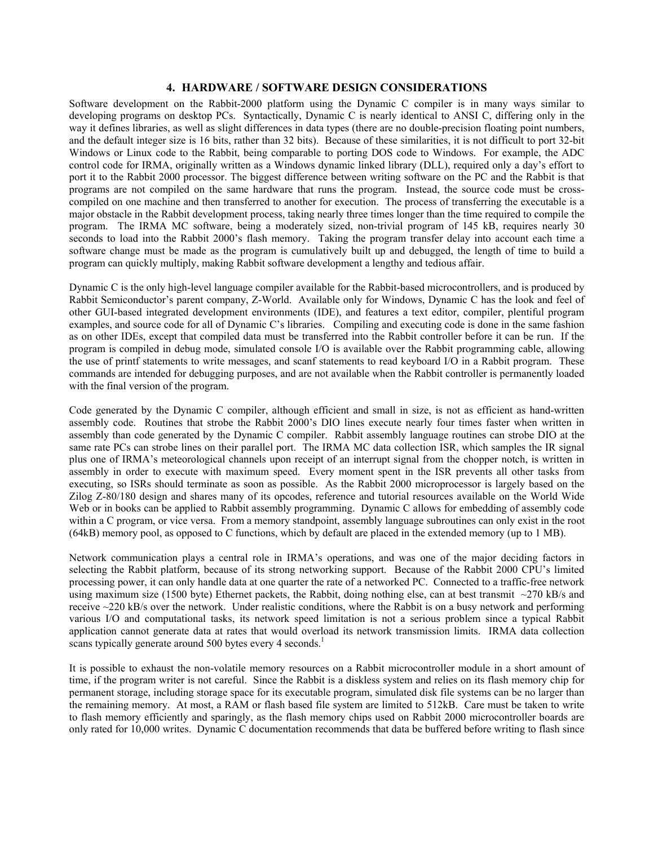### **4. HARDWARE / SOFTWARE DESIGN CONSIDERATIONS**

Software development on the Rabbit-2000 platform using the Dynamic C compiler is in many ways similar to developing programs on desktop PCs. Syntactically, Dynamic C is nearly identical to ANSI C, differing only in the way it defines libraries, as well as slight differences in data types (there are no double-precision floating point numbers, and the default integer size is 16 bits, rather than 32 bits). Because of these similarities, it is not difficult to port 32-bit Windows or Linux code to the Rabbit, being comparable to porting DOS code to Windows. For example, the ADC control code for IRMA, originally written as a Windows dynamic linked library (DLL), required only a day's effort to port it to the Rabbit 2000 processor. The biggest difference between writing software on the PC and the Rabbit is that programs are not compiled on the same hardware that runs the program. Instead, the source code must be crosscompiled on one machine and then transferred to another for execution. The process of transferring the executable is a major obstacle in the Rabbit development process, taking nearly three times longer than the time required to compile the program. The IRMA MC software, being a moderately sized, non-trivial program of 145 kB, requires nearly 30 seconds to load into the Rabbit 2000's flash memory. Taking the program transfer delay into account each time a software change must be made as the program is cumulatively built up and debugged, the length of time to build a program can quickly multiply, making Rabbit software development a lengthy and tedious affair.

Dynamic C is the only high-level language compiler available for the Rabbit-based microcontrollers, and is produced by Rabbit Semiconductor's parent company, Z-World. Available only for Windows, Dynamic C has the look and feel of other GUI-based integrated development environments (IDE), and features a text editor, compiler, plentiful program examples, and source code for all of Dynamic C's libraries. Compiling and executing code is done in the same fashion as on other IDEs, except that compiled data must be transferred into the Rabbit controller before it can be run. If the program is compiled in debug mode, simulated console I/O is available over the Rabbit programming cable, allowing the use of printf statements to write messages, and scanf statements to read keyboard I/O in a Rabbit program. These commands are intended for debugging purposes, and are not available when the Rabbit controller is permanently loaded with the final version of the program.

Code generated by the Dynamic C compiler, although efficient and small in size, is not as efficient as hand-written assembly code. Routines that strobe the Rabbit 2000's DIO lines execute nearly four times faster when written in assembly than code generated by the Dynamic C compiler. Rabbit assembly language routines can strobe DIO at the same rate PCs can strobe lines on their parallel port. The IRMA MC data collection ISR, which samples the IR signal plus one of IRMA's meteorological channels upon receipt of an interrupt signal from the chopper notch, is written in assembly in order to execute with maximum speed. Every moment spent in the ISR prevents all other tasks from executing, so ISRs should terminate as soon as possible. As the Rabbit 2000 microprocessor is largely based on the Zilog Z-80/180 design and shares many of its opcodes, reference and tutorial resources available on the World Wide Web or in books can be applied to Rabbit assembly programming. Dynamic C allows for embedding of assembly code within a C program, or vice versa. From a memory standpoint, assembly language subroutines can only exist in the root (64kB) memory pool, as opposed to C functions, which by default are placed in the extended memory (up to 1 MB).

Network communication plays a central role in IRMA's operations, and was one of the major deciding factors in selecting the Rabbit platform, because of its strong networking support. Because of the Rabbit 2000 CPU's limited processing power, it can only handle data at one quarter the rate of a networked PC. Connected to a traffic-free network using maximum size (1500 byte) Ethernet packets, the Rabbit, doing nothing else, can at best transmit  $\sim$ 270 kB/s and receive  $\sim$ 220 kB/s over the network. Under realistic conditions, where the Rabbit is on a busy network and performing various I/O and computational tasks, its network speed limitation is not a serious problem since a typical Rabbit application cannot generate data at rates that would overload its network transmission limits. IRMA data collection scans typically generate around 500 bytes every 4 seconds.<sup>1</sup>

It is possible to exhaust the non-volatile memory resources on a Rabbit microcontroller module in a short amount of time, if the program writer is not careful. Since the Rabbit is a diskless system and relies on its flash memory chip for permanent storage, including storage space for its executable program, simulated disk file systems can be no larger than the remaining memory. At most, a RAM or flash based file system are limited to 512kB. Care must be taken to write to flash memory efficiently and sparingly, as the flash memory chips used on Rabbit 2000 microcontroller boards are only rated for 10,000 writes. Dynamic C documentation recommends that data be buffered before writing to flash since